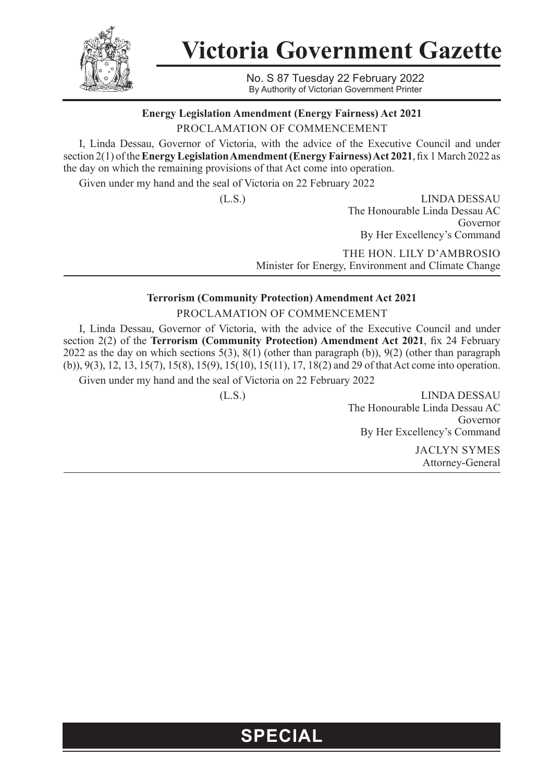

**Victoria Government Gazette**

No. S 87 Tuesday 22 February 2022 By Authority of Victorian Government Printer

**Energy Legislation Amendment (Energy Fairness) Act 2021** 

PROCLAMATION OF COMMENCEMENT

I, Linda Dessau, Governor of Victoria, with the advice of the Executive Council and under section 2(1) of the **Energy Legislation Amendment (Energy Fairness) Act 2021**, fix 1 March 2022 as the day on which the remaining provisions of that Act come into operation.

Given under my hand and the seal of Victoria on 22 February 2022

(L.S.) LINDA DESSAU The Honourable Linda Dessau AC Governor By Her Excellency's Command

> THE HON. LILY D'AMBROSIO Minister for Energy, Environment and Climate Change

## **Terrorism (Community Protection) Amendment Act 2021**

PROCLAMATION OF COMMENCEMENT

I, Linda Dessau, Governor of Victoria, with the advice of the Executive Council and under section 2(2) of the **Terrorism (Community Protection) Amendment Act 2021**, fix 24 February 2022 as the day on which sections 5(3), 8(1) (other than paragraph (b)), 9(2) (other than paragraph (b)), 9(3), 12, 13, 15(7), 15(8), 15(9), 15(10), 15(11), 17, 18(2) and 29 of that Act come into operation.

Given under my hand and the seal of Victoria on 22 February 2022

(L.S.) LINDA DESSAU The Honourable Linda Dessau AC Governor By Her Excellency's Command

> JACLYN SYMES Attorney-General

## **SPECIAL**